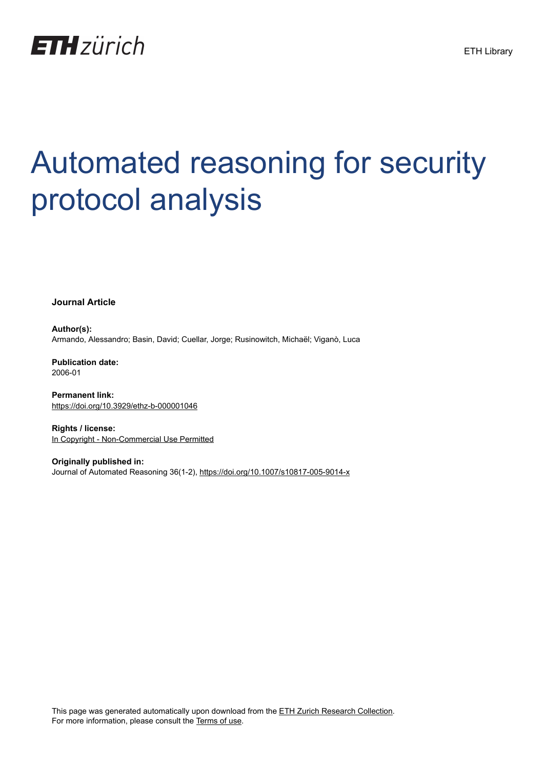

## Automated reasoning for security protocol analysis

**Journal Article**

**Author(s):** Armando, Alessandro; Basin, David; Cuellar, Jorge; Rusinowitch, Michaël; Viganò, Luca

**Publication date:** 2006-01

**Permanent link:** <https://doi.org/10.3929/ethz-b-000001046>

**Rights / license:** [In Copyright - Non-Commercial Use Permitted](http://rightsstatements.org/page/InC-NC/1.0/)

**Originally published in:** Journal of Automated Reasoning 36(1-2), <https://doi.org/10.1007/s10817-005-9014-x>

This page was generated automatically upon download from the [ETH Zurich Research Collection.](https://www.research-collection.ethz.ch) For more information, please consult the [Terms of use](https://www.research-collection.ethz.ch/terms-of-use).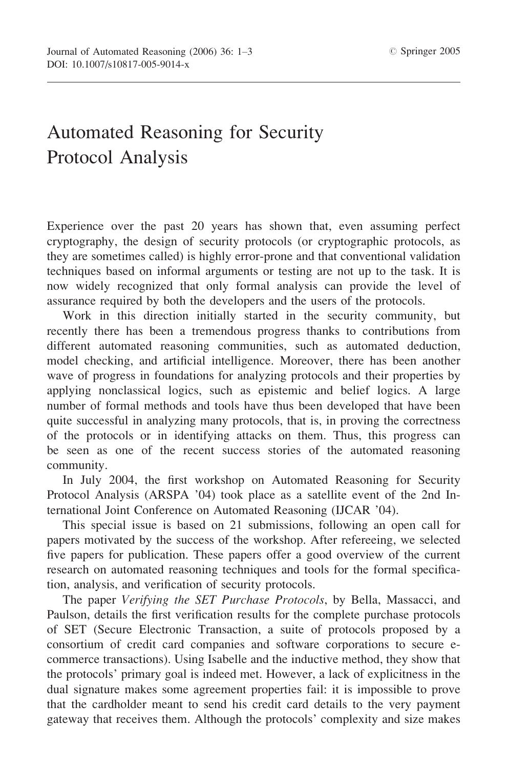## Automated Reasoning for Security Protocol Analysis

Experience over the past 20 years has shown that, even assuming perfect cryptography, the design of security protocols (or cryptographic protocols, as they are sometimes called) is highly error-prone and that conventional validation techniques based on informal arguments or testing are not up to the task. It is now widely recognized that only formal analysis can provide the level of assurance required by both the developers and the users of the protocols.

Work in this direction initially started in the security community, but recently there has been a tremendous progress thanks to contributions from different automated reasoning communities, such as automated deduction, model checking, and artificial intelligence. Moreover, there has been another wave of progress in foundations for analyzing protocols and their properties by applying nonclassical logics, such as epistemic and belief logics. A large number of formal methods and tools have thus been developed that have been quite successful in analyzing many protocols, that is, in proving the correctness of the protocols or in identifying attacks on them. Thus, this progress can be seen as one of the recent success stories of the automated reasoning community.

In July 2004, the first workshop on Automated Reasoning for Security Protocol Analysis (ARSPA '04) took place as a satellite event of the 2nd International Joint Conference on Automated Reasoning (IJCAR '04).

This special issue is based on 21 submissions, following an open call for papers motivated by the success of the workshop. After refereeing, we selected five papers for publication. These papers offer a good overview of the current research on automated reasoning techniques and tools for the formal specification, analysis, and verification of security protocols.

The paper Verifying the SET Purchase Protocols, by Bella, Massacci, and Paulson, details the first verification results for the complete purchase protocols of SET (Secure Electronic Transaction, a suite of protocols proposed by a consortium of credit card companies and software corporations to secure ecommerce transactions). Using Isabelle and the inductive method, they show that the protocols' primary goal is indeed met. However, a lack of explicitness in the dual signature makes some agreement properties fail: it is impossible to prove that the cardholder meant to send his credit card details to the very payment gateway that receives them. Although the protocols' complexity and size makes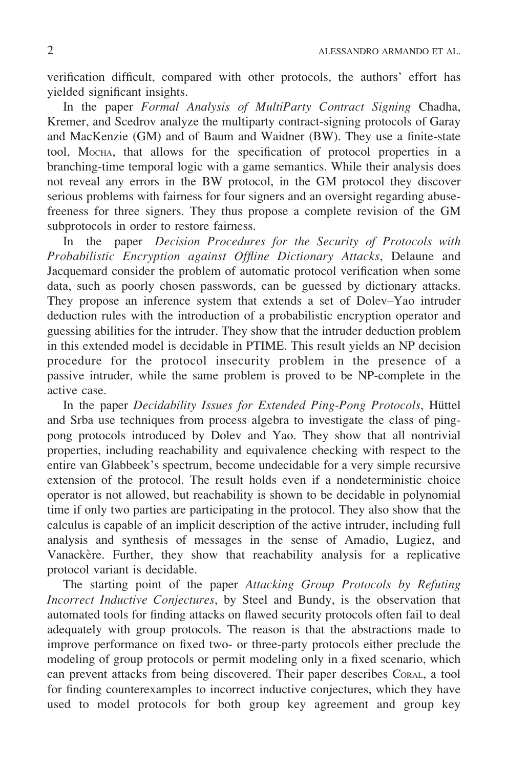verification difficult, compared with other protocols, the authors' effort has yielded significant insights.

In the paper Formal Analysis of MultiParty Contract Signing Chadha, Kremer, and Scedrov analyze the multiparty contract-signing protocols of Garay and MacKenzie (GM) and of Baum and Waidner (BW). They use a finite-state tool, MOCHA, that allows for the specification of protocol properties in a branching-time temporal logic with a game semantics. While their analysis does not reveal any errors in the BW protocol, in the GM protocol they discover serious problems with fairness for four signers and an oversight regarding abusefreeness for three signers. They thus propose a complete revision of the GM subprotocols in order to restore fairness.

In the paper Decision Procedures for the Security of Protocols with Probabilistic Encryption against Offline Dictionary Attacks, Delaune and Jacquemard consider the problem of automatic protocol verification when some data, such as poorly chosen passwords, can be guessed by dictionary attacks. They propose an inference system that extends a set of Dolev-Yao intruder deduction rules with the introduction of a probabilistic encryption operator and guessing abilities for the intruder. They show that the intruder deduction problem in this extended model is decidable in PTIME. This result yields an NP decision procedure for the protocol insecurity problem in the presence of a passive intruder, while the same problem is proved to be NP-complete in the active case.

In the paper Decidability Issues for Extended Ping-Pong Protocols, Hüttel and Srba use techniques from process algebra to investigate the class of pingpong protocols introduced by Dolev and Yao. They show that all nontrivial properties, including reachability and equivalence checking with respect to the entire van Glabbeek's spectrum, become undecidable for a very simple recursive extension of the protocol. The result holds even if a nondeterministic choice operator is not allowed, but reachability is shown to be decidable in polynomial time if only two parties are participating in the protocol. They also show that the calculus is capable of an implicit description of the active intruder, including full analysis and synthesis of messages in the sense of Amadio, Lugiez, and Vanackère. Further, they show that reachability analysis for a replicative protocol variant is decidable.

The starting point of the paper Attacking Group Protocols by Refuting Incorrect Inductive Conjectures, by Steel and Bundy, is the observation that automated tools for finding attacks on flawed security protocols often fail to deal adequately with group protocols. The reason is that the abstractions made to improve performance on fixed two- or three-party protocols either preclude the modeling of group protocols or permit modeling only in a fixed scenario, which can prevent attacks from being discovered. Their paper describes CORAL, a tool for finding counterexamples to incorrect inductive conjectures, which they have used to model protocols for both group key agreement and group key